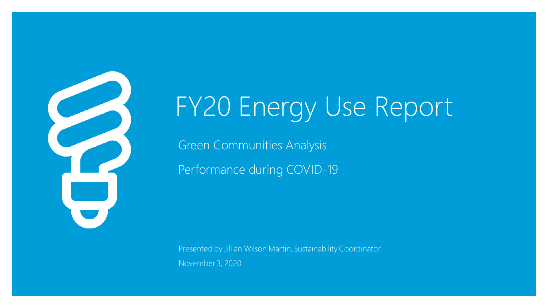

# FY20 Energy Use Report

Green Communities Analysis Performance during COVID-19

Presented by Jillian Wilson Martin, Sustainability Coordinator November 3, 2020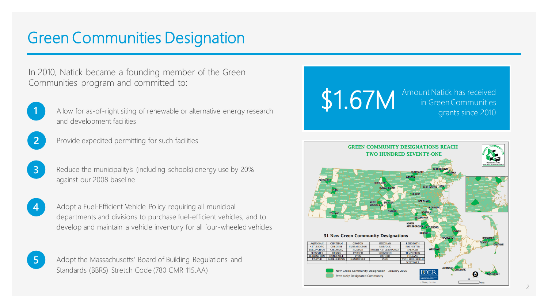### Green Communities Designation

In 2010, Natick became a founding member of the Green Communities program and committed to:



**1** Allow for as-of-right siting of renewable or alternative energy research and development facilities



Provide expedited permitting for such facilities



**3** Reduce the municipality's (including schools) energy use by 20% against our 2008 baseline

**4** Adopt a Fuel-Efficient Vehicle Policy requiring all municipal departments and divisions to purchase fuel-efficient vehicles, and to develop and maintain a vehicle inventory for all four-wheeled vehicles



**5** Adopt the Massachusetts' Board of Building Regulations and Standards (BBRS) Stretch Code (780 CMR 115.AA)



**Previously Designated Community**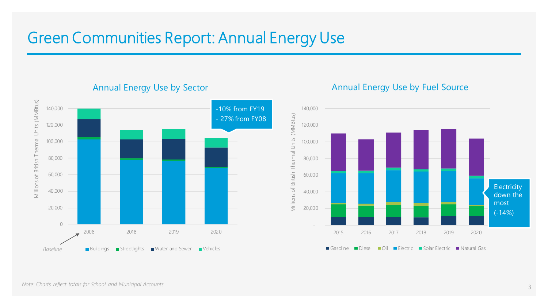### Green Communities Report: Annual Energy Use

Millions of British Thermal Units (MMBtus) Millions of British Thermal Units (MMBtus) 140,000 -10% from FY19 - 27% from FY08 120,000 100,000 80,000 60,000 40,000 20,000 0 2008 2018 2019 2020 ■ Buildings ■ Streetlights ■ Water and Sewer ■ Vehicles *Baseline*

#### Annual Energy Use by Sector

#### Annual Energy Use by Fuel Source

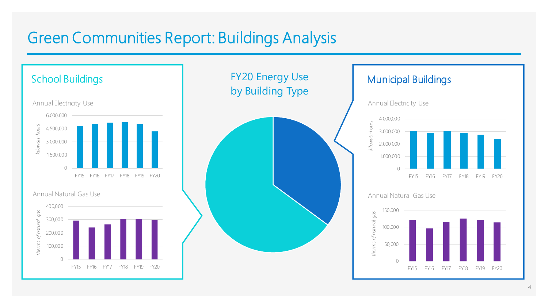### Green Communities Report: Buildings Analysis

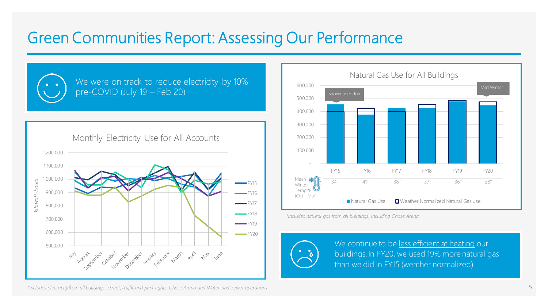### Green Communities Report: Assessing Our Performance



We were on track to reduce electricity by 10% pre-COVID (July 19 – Feb 20)





*\*Includes natural gas from all buildings, including Chase Arena*



We continue to be less efficient at heating our buildings. In FY20, we used 19% more natural gas than we did in FY15 (weather normalized).

*\*Includes electricity from all buildings, street, traffic and park lights, Chase Arena and Water and Sewer operations*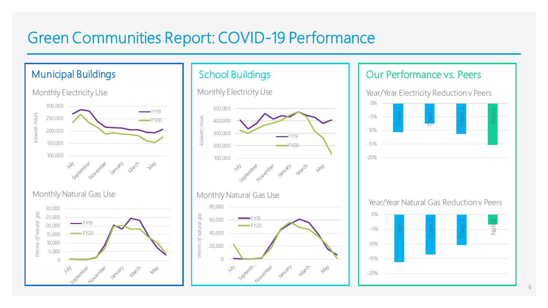### Green Communities Report: COVID-19 Performance





Monthly Natural Gas Use



#### Our Performance vs. Peers

Year/Year Electricity Reduction v Peers



Year/Year Natural Gas Reduction v Peers

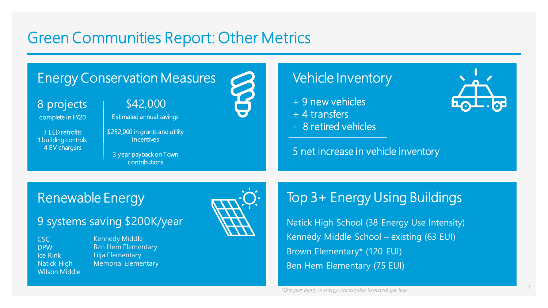### Green Communities Report: Other Metrics

### Energy Conservation Measures

8 projects | \$42,000

complete in FY20

3 LED retrofits 1 building controls 4 EV chargers

Estimated annual savings

\$252,000 in grants and utility incentives

3 year payback on Town contributions



#### Vehicle Inventory

+ 9 new vehicles

+ 4 transfers

- 8 retired vehicles

#### 5 net increase in vehicle inventory



### Renewable Energy

#### 9 systems saving \$200K/year

CSC DPW Ice Rink Natick High Wilson Middle **Kennedy Middle Ben Hem Elementary** Lilja Elementary **Memorial Elementary** 



### Top 3+ Energy Using Buildings

Natick High School (38 Energy Use Intensity) Kennedy Middle School – existing (63 EUI) Brown Elementary\* (120 EUI) Ben Hem Elementary (75 EUI)